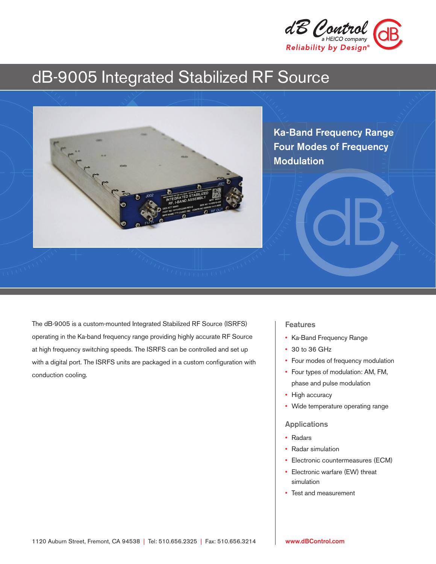

# dB-9005 Integrated Stabilized RF Source



Ka-Band Frequency Range Four Modes of Frequency Modulation

The dB-9005 is a custom-mounted Integrated Stabilized RF Source (ISRFS) operating in the Ka-band frequency range providing highly accurate RF Source at high frequency switching speeds. The ISRFS can be controlled and set up with a digital port. The ISRFS units are packaged in a custom configuration with conduction cooling.

## **Features**

- Ka-Band Frequency Range
- 30 to 36 GHz
- Four modes of frequency modulation
- Four types of modulation: AM, FM, phase and pulse modulation
- High accuracy
- Wide temperature operating range

### Applications

- Radars
- Radar simulation
- Electronic countermeasures (ECM)
- Electronic warfare (EW) threat simulation
- Test and measurement